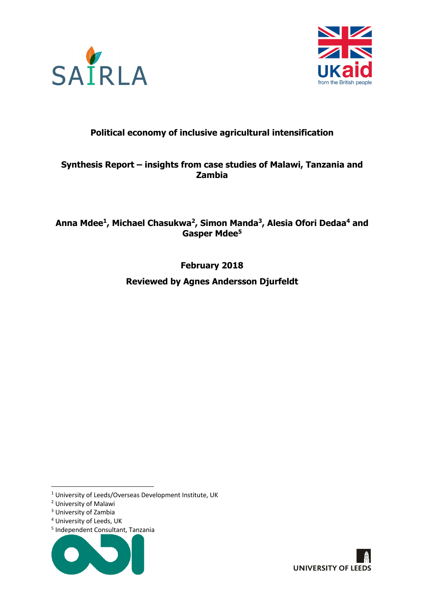



### **Political economy of inclusive agricultural intensification**

### **Synthesis Report – insights from case studies of Malawi, Tanzania and Zambia**

### **Anna Mdee1, Michael Chasukwa2, Simon Manda3, Alesia Ofori Dedaa4 and Gasper Mdee5**

**February 2018**

**Reviewed by Agnes Andersson Djurfeldt**

<sup>4</sup> University of Leeds, UK

<sup>5</sup> Independent Consultant, Tanzania





 <sup>1</sup> University of Leeds/Overseas Development Institute, UK

<sup>2</sup> University of Malawi

<sup>3</sup> University of Zambia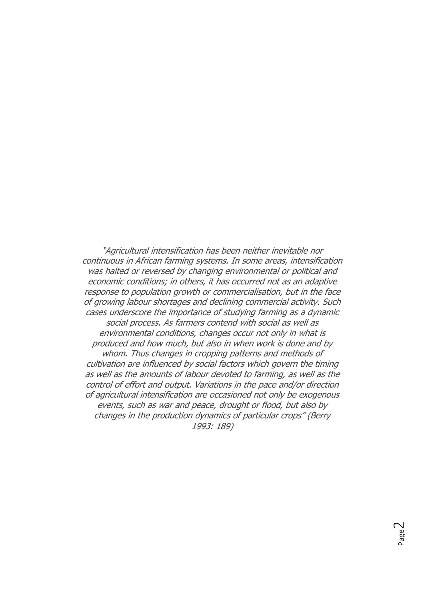"Agricultural intensification has been neither inevitable nor continuous in African farming systems. In some areas, intensification was halted or reversed by changing environmental or political and economic conditions; in others, it has occurred not as an adaptive response to population growth or commercialisation, but in the face of growing labour shortages and declining commercial activity. Such cases underscore the importance of studying farming as a dynamic social process. As farmers contend with social as well as environmental conditions, changes occur not only in what is produced and how much, but also in when work is done and by whom. Thus changes in cropping patterns and methods of cultivation are influenced by social factors which govern the timing as well as the amounts of labour devoted to farming, as well as the control of effort and output. Variations in the pace and/or direction of agricultural intensification are occasioned not only be exogenous events, such as war and peace, drought or flood, but also by changes in the production dynamics of particular crops" (Berry 1993: 189)

> Page  $\sim$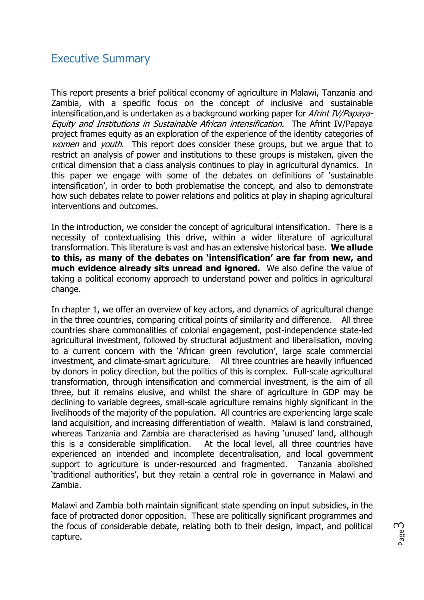## Executive Summary

This report presents a brief political economy of agriculture in Malawi, Tanzania and Zambia, with a specific focus on the concept of inclusive and sustainable intensification, and is undertaken as a background working paper for *Afrint IV/Papaya-*Equity and Institutions in Sustainable African intensification. The Afrint IV/Papaya project frames equity as an exploration of the experience of the identity categories of women and *youth*. This report does consider these groups, but we argue that to restrict an analysis of power and institutions to these groups is mistaken, given the critical dimension that a class analysis continues to play in agricultural dynamics. In this paper we engage with some of the debates on definitions of 'sustainable intensification', in order to both problematise the concept, and also to demonstrate how such debates relate to power relations and politics at play in shaping agricultural interventions and outcomes.

In the introduction, we consider the concept of agricultural intensification. There is a necessity of contextualising this drive, within a wider literature of agricultural transformation. This literature is vast and has an extensive historical base. **We allude to this, as many of the debates on 'intensification' are far from new, and much evidence already sits unread and ignored.** We also define the value of taking a political economy approach to understand power and politics in agricultural change.

In chapter 1, we offer an overview of key actors, and dynamics of agricultural change in the three countries, comparing critical points of similarity and difference. All three countries share commonalities of colonial engagement, post-independence state-led agricultural investment, followed by structural adjustment and liberalisation, moving to a current concern with the 'African green revolution', large scale commercial investment, and climate-smart agriculture. All three countries are heavily influenced by donors in policy direction, but the politics of this is complex. Full-scale agricultural transformation, through intensification and commercial investment, is the aim of all three, but it remains elusive, and whilst the share of agriculture in GDP may be declining to variable degrees, small-scale agriculture remains highly significant in the livelihoods of the majority of the population. All countries are experiencing large scale land acquisition, and increasing differentiation of wealth. Malawi is land constrained, whereas Tanzania and Zambia are characterised as having 'unused' land, although this is a considerable simplification. At the local level, all three countries have experienced an intended and incomplete decentralisation, and local government support to agriculture is under-resourced and fragmented. Tanzania abolished 'traditional authorities', but they retain a central role in governance in Malawi and Zambia.

Malawi and Zambia both maintain significant state spending on input subsidies, in the face of protracted donor opposition. These are politically significant programmes and the focus of considerable debate, relating both to their design, impact, and political capture.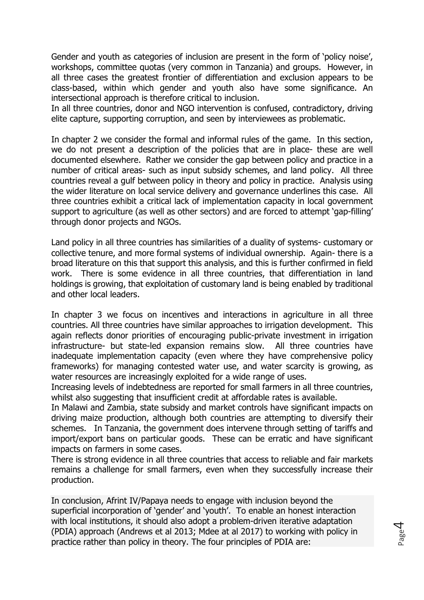Gender and youth as categories of inclusion are present in the form of 'policy noise', workshops, committee quotas (very common in Tanzania) and groups. However, in all three cases the greatest frontier of differentiation and exclusion appears to be class-based, within which gender and youth also have some significance. An intersectional approach is therefore critical to inclusion.

In all three countries, donor and NGO intervention is confused, contradictory, driving elite capture, supporting corruption, and seen by interviewees as problematic.

In chapter 2 we consider the formal and informal rules of the game. In this section, we do not present a description of the policies that are in place- these are well documented elsewhere. Rather we consider the gap between policy and practice in a number of critical areas- such as input subsidy schemes, and land policy. All three countries reveal a gulf between policy in theory and policy in practice. Analysis using the wider literature on local service delivery and governance underlines this case. All three countries exhibit a critical lack of implementation capacity in local government support to agriculture (as well as other sectors) and are forced to attempt 'gap-filling' through donor projects and NGOs.

Land policy in all three countries has similarities of a duality of systems- customary or collective tenure, and more formal systems of individual ownership. Again- there is a broad literature on this that support this analysis, and this is further confirmed in field work. There is some evidence in all three countries, that differentiation in land holdings is growing, that exploitation of customary land is being enabled by traditional and other local leaders.

In chapter 3 we focus on incentives and interactions in agriculture in all three countries. All three countries have similar approaches to irrigation development. This again reflects donor priorities of encouraging public-private investment in irrigation infrastructure- but state-led expansion remains slow. All three countries have inadequate implementation capacity (even where they have comprehensive policy frameworks) for managing contested water use, and water scarcity is growing, as water resources are increasingly exploited for a wide range of uses.

Increasing levels of indebtedness are reported for small farmers in all three countries, whilst also suggesting that insufficient credit at affordable rates is available.

In Malawi and Zambia, state subsidy and market controls have significant impacts on driving maize production, although both countries are attempting to diversify their schemes. In Tanzania, the government does intervene through setting of tariffs and import/export bans on particular goods. These can be erratic and have significant impacts on farmers in some cases.

There is strong evidence in all three countries that access to reliable and fair markets remains a challenge for small farmers, even when they successfully increase their production.

In conclusion, Afrint IV/Papaya needs to engage with inclusion beyond the superficial incorporation of 'gender' and 'youth'. To enable an honest interaction with local institutions, it should also adopt a problem-driven iterative adaptation (PDIA) approach (Andrews et al 2013; Mdee at al 2017) to working with policy in practice rather than policy in theory. The four principles of PDIA are: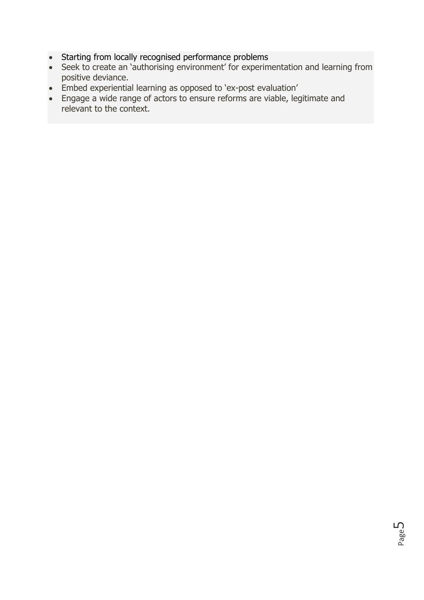- Starting from locally recognised performance problems
- Seek to create an 'authorising environment' for experimentation and learning from positive deviance.
- Embed experiential learning as opposed to 'ex-post evaluation'
- Engage a wide range of actors to ensure reforms are viable, legitimate and relevant to the context.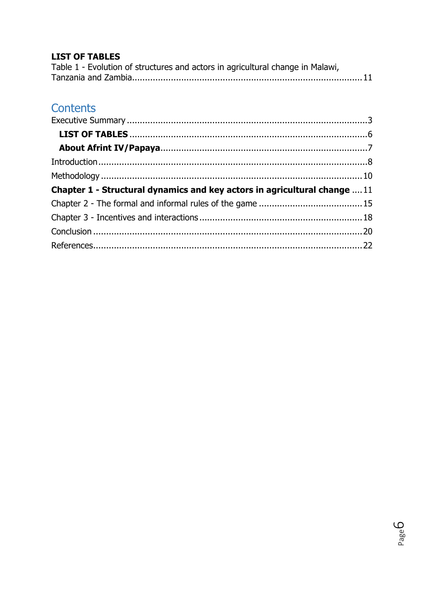### **LIST OF TABLES**

| Table 1 - Evolution of structures and actors in agricultural change in Malawi, |  |
|--------------------------------------------------------------------------------|--|
|                                                                                |  |

# Contents

| Chapter 1 - Structural dynamics and key actors in agricultural change  11 |  |
|---------------------------------------------------------------------------|--|
|                                                                           |  |
|                                                                           |  |
|                                                                           |  |
|                                                                           |  |

Page<sup>G</sup>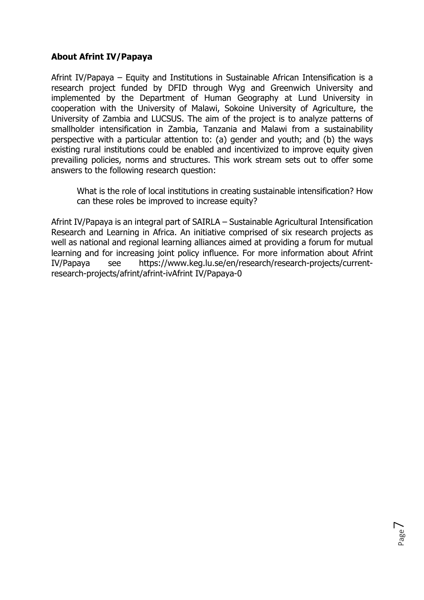### **About Afrint IV/Papaya**

Afrint IV/Papaya – Equity and Institutions in Sustainable African Intensification is a research project funded by DFID through Wyg and Greenwich University and implemented by the Department of Human Geography at Lund University in cooperation with the University of Malawi, Sokoine University of Agriculture, the University of Zambia and LUCSUS. The aim of the project is to analyze patterns of smallholder intensification in Zambia, Tanzania and Malawi from a sustainability perspective with a particular attention to: (a) gender and youth; and (b) the ways existing rural institutions could be enabled and incentivized to improve equity given prevailing policies, norms and structures. This work stream sets out to offer some answers to the following research question:

What is the role of local institutions in creating sustainable intensification? How can these roles be improved to increase equity?

Afrint IV/Papaya is an integral part of SAIRLA – Sustainable Agricultural Intensification Research and Learning in Africa. An initiative comprised of six research projects as well as national and regional learning alliances aimed at providing a forum for mutual learning and for increasing joint policy influence. For more information about Afrint IV/Papaya see https://www.keg.lu.se/en/research/research-projects/currentresearch-projects/afrint/afrint-ivAfrint IV/Papaya-0

Page  $\overline{\phantom{a}}$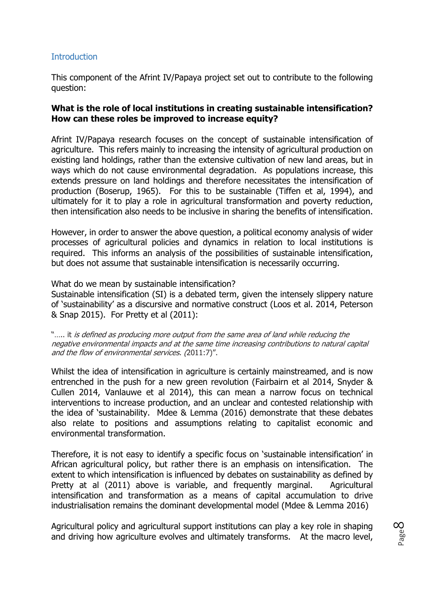### **Introduction**

This component of the Afrint IV/Papaya project set out to contribute to the following question:

#### **What is the role of local institutions in creating sustainable intensification? How can these roles be improved to increase equity?**

Afrint IV/Papaya research focuses on the concept of sustainable intensification of agriculture. This refers mainly to increasing the intensity of agricultural production on existing land holdings, rather than the extensive cultivation of new land areas, but in ways which do not cause environmental degradation. As populations increase, this extends pressure on land holdings and therefore necessitates the intensification of production (Boserup, 1965). For this to be sustainable (Tiffen et al, 1994), and ultimately for it to play a role in agricultural transformation and poverty reduction, then intensification also needs to be inclusive in sharing the benefits of intensification.

However, in order to answer the above question, a political economy analysis of wider processes of agricultural policies and dynamics in relation to local institutions is required. This informs an analysis of the possibilities of sustainable intensification, but does not assume that sustainable intensification is necessarily occurring.

What do we mean by sustainable intensification?

Sustainable intensification (SI) is a debated term, given the intensely slippery nature of 'sustainability' as a discursive and normative construct (Loos et al. 2014, Peterson & Snap 2015). For Pretty et al (2011):

"..... it is defined as producing more output from the same area of land while reducing the negative environmental impacts and at the same time increasing contributions to natural capital and the flow of environmental services. (2011:7)".

Whilst the idea of intensification in agriculture is certainly mainstreamed, and is now entrenched in the push for a new green revolution (Fairbairn et al 2014, Snyder & Cullen 2014, Vanlauwe et al 2014), this can mean a narrow focus on technical interventions to increase production, and an unclear and contested relationship with the idea of 'sustainability. Mdee & Lemma (2016) demonstrate that these debates also relate to positions and assumptions relating to capitalist economic and environmental transformation.

Therefore, it is not easy to identify a specific focus on 'sustainable intensification' in African agricultural policy, but rather there is an emphasis on intensification. The extent to which intensification is influenced by debates on sustainability as defined by Pretty at al (2011) above is variable, and frequently marginal. Agricultural intensification and transformation as a means of capital accumulation to drive industrialisation remains the dominant developmental model (Mdee & Lemma 2016)

Agricultural policy and agricultural support institutions can play a key role in shaping and driving how agriculture evolves and ultimately transforms. At the macro level,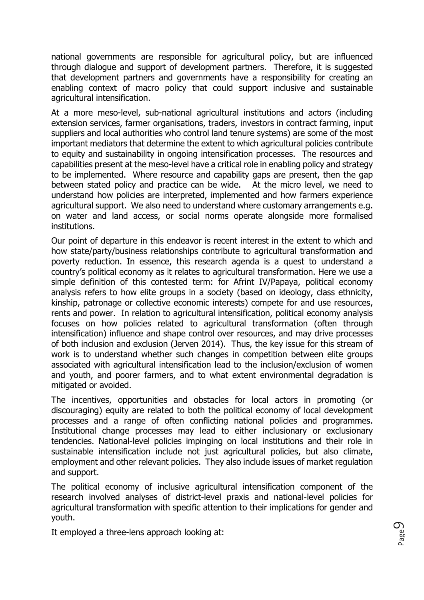national governments are responsible for agricultural policy, but are influenced through dialogue and support of development partners. Therefore, it is suggested that development partners and governments have a responsibility for creating an enabling context of macro policy that could support inclusive and sustainable agricultural intensification.

At a more meso-level, sub-national agricultural institutions and actors (including extension services, farmer organisations, traders, investors in contract farming, input suppliers and local authorities who control land tenure systems) are some of the most important mediators that determine the extent to which agricultural policies contribute to equity and sustainability in ongoing intensification processes. The resources and capabilities present at the meso-level have a critical role in enabling policy and strategy to be implemented. Where resource and capability gaps are present, then the gap between stated policy and practice can be wide. At the micro level, we need to understand how policies are interpreted, implemented and how farmers experience agricultural support. We also need to understand where customary arrangements e.g. on water and land access, or social norms operate alongside more formalised institutions.

Our point of departure in this endeavor is recent interest in the extent to which and how state/party/business relationships contribute to agricultural transformation and poverty reduction. In essence, this research agenda is a quest to understand a country's political economy as it relates to agricultural transformation. Here we use a simple definition of this contested term: for Afrint IV/Papaya, political economy analysis refers to how elite groups in a society (based on ideology, class ethnicity, kinship, patronage or collective economic interests) compete for and use resources, rents and power. In relation to agricultural intensification, political economy analysis focuses on how policies related to agricultural transformation (often through intensification) influence and shape control over resources, and may drive processes of both inclusion and exclusion (Jerven 2014). Thus, the key issue for this stream of work is to understand whether such changes in competition between elite groups associated with agricultural intensification lead to the inclusion/exclusion of women and youth, and poorer farmers, and to what extent environmental degradation is mitigated or avoided.

The incentives, opportunities and obstacles for local actors in promoting (or discouraging) equity are related to both the political economy of local development processes and a range of often conflicting national policies and programmes. Institutional change processes may lead to either inclusionary or exclusionary tendencies. National-level policies impinging on local institutions and their role in sustainable intensification include not just agricultural policies, but also climate, employment and other relevant policies. They also include issues of market regulation and support.

The political economy of inclusive agricultural intensification component of the research involved analyses of district-level praxis and national-level policies for agricultural transformation with specific attention to their implications for gender and youth.

It employed a three-lens approach looking at: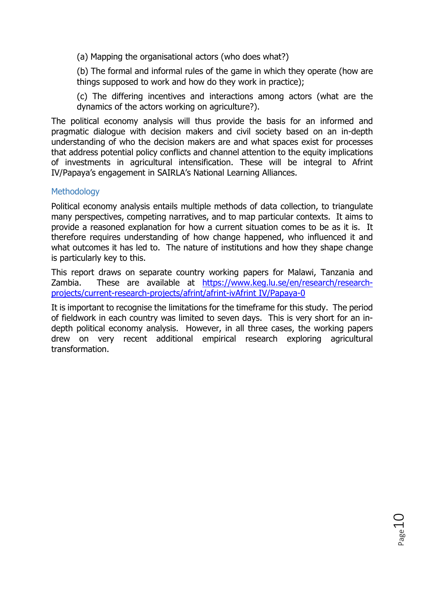(a) Mapping the organisational actors (who does what?)

(b) The formal and informal rules of the game in which they operate (how are things supposed to work and how do they work in practice);

(c) The differing incentives and interactions among actors (what are the dynamics of the actors working on agriculture?).

The political economy analysis will thus provide the basis for an informed and pragmatic dialogue with decision makers and civil society based on an in-depth understanding of who the decision makers are and what spaces exist for processes that address potential policy conflicts and channel attention to the equity implications of investments in agricultural intensification. These will be integral to Afrint IV/Papaya's engagement in SAIRLA's National Learning Alliances.

#### **Methodology**

Political economy analysis entails multiple methods of data collection, to triangulate many perspectives, competing narratives, and to map particular contexts. It aims to provide a reasoned explanation for how a current situation comes to be as it is. It therefore requires understanding of how change happened, who influenced it and what outcomes it has led to. The nature of institutions and how they shape change is particularly key to this.

This report draws on separate country working papers for Malawi, Tanzania and Zambia. These are available at https://www.keg.lu.se/en/research/researchprojects/current-research-projects/afrint/afrint-ivAfrint IV/Papaya-0

It is important to recognise the limitations for the timeframe for this study. The period of fieldwork in each country was limited to seven days. This is very short for an indepth political economy analysis. However, in all three cases, the working papers drew on very recent additional empirical research exploring agricultural transformation.

Page10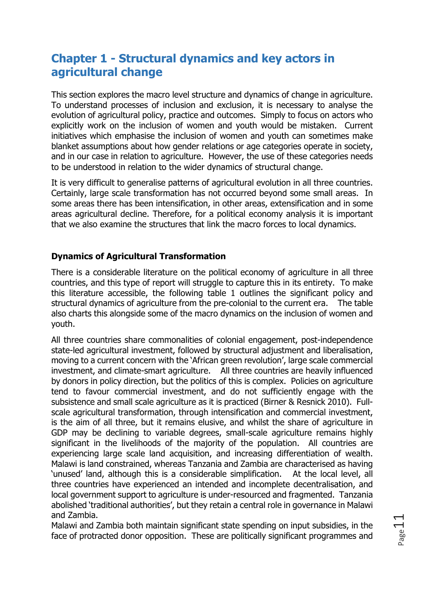# **Chapter 1 - Structural dynamics and key actors in agricultural change**

This section explores the macro level structure and dynamics of change in agriculture. To understand processes of inclusion and exclusion, it is necessary to analyse the evolution of agricultural policy, practice and outcomes. Simply to focus on actors who explicitly work on the inclusion of women and youth would be mistaken. Current initiatives which emphasise the inclusion of women and youth can sometimes make blanket assumptions about how gender relations or age categories operate in society, and in our case in relation to agriculture. However, the use of these categories needs to be understood in relation to the wider dynamics of structural change.

It is very difficult to generalise patterns of agricultural evolution in all three countries. Certainly, large scale transformation has not occurred beyond some small areas. In some areas there has been intensification, in other areas, extensification and in some areas agricultural decline. Therefore, for a political economy analysis it is important that we also examine the structures that link the macro forces to local dynamics.

### **Dynamics of Agricultural Transformation**

There is a considerable literature on the political economy of agriculture in all three countries, and this type of report will struggle to capture this in its entirety. To make this literature accessible, the following table 1 outlines the significant policy and structural dynamics of agriculture from the pre-colonial to the current era. The table also charts this alongside some of the macro dynamics on the inclusion of women and youth.

All three countries share commonalities of colonial engagement, post-independence state-led agricultural investment, followed by structural adjustment and liberalisation, moving to a current concern with the 'African green revolution', large scale commercial investment, and climate-smart agriculture. All three countries are heavily influenced by donors in policy direction, but the politics of this is complex. Policies on agriculture tend to favour commercial investment, and do not sufficiently engage with the subsistence and small scale agriculture as it is practiced (Birner & Resnick 2010). Fullscale agricultural transformation, through intensification and commercial investment, is the aim of all three, but it remains elusive, and whilst the share of agriculture in GDP may be declining to variable degrees, small-scale agriculture remains highly significant in the livelihoods of the majority of the population. All countries are experiencing large scale land acquisition, and increasing differentiation of wealth. Malawi is land constrained, whereas Tanzania and Zambia are characterised as having 'unused' land, although this is a considerable simplification. At the local level, all three countries have experienced an intended and incomplete decentralisation, and local government support to agriculture is under-resourced and fragmented. Tanzania abolished 'traditional authorities', but they retain a central role in governance in Malawi and Zambia.

Malawi and Zambia both maintain significant state spending on input subsidies, in the face of protracted donor opposition. These are politically significant programmes and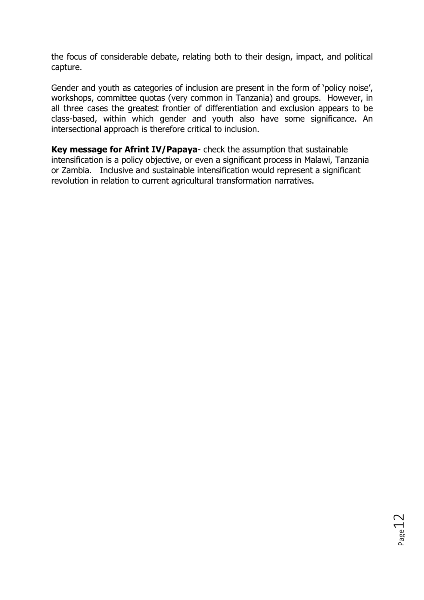the focus of considerable debate, relating both to their design, impact, and political capture.

Gender and youth as categories of inclusion are present in the form of 'policy noise', workshops, committee quotas (very common in Tanzania) and groups. However, in all three cases the greatest frontier of differentiation and exclusion appears to be class-based, within which gender and youth also have some significance. An intersectional approach is therefore critical to inclusion.

**Key message for Afrint IV/Papaya**- check the assumption that sustainable intensification is a policy objective, or even a significant process in Malawi, Tanzania or Zambia. Inclusive and sustainable intensification would represent a significant revolution in relation to current agricultural transformation narratives.

Page12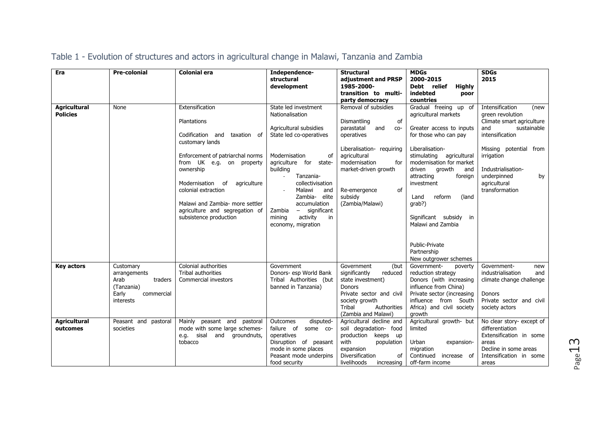| Era                                    | <b>Pre-colonial</b>                                                                            | <b>Colonial era</b>                                                                                                                                                                                                                                                                                                           | Independence-<br>structural<br>development                                                                                                                                                                                                                                                                                                    | <b>Structural</b><br>adjustment and PRSP<br>1985-2000-<br>transition to multi-                                                                                                                                                         | <b>MDGs</b><br>2000-2015<br>Debt relief<br><b>Highly</b><br>indebted<br>poor                                                                                                                                                                                                                                                                                                                  | <b>SDGs</b><br>2015                                                                                                                                                                                                                    |
|----------------------------------------|------------------------------------------------------------------------------------------------|-------------------------------------------------------------------------------------------------------------------------------------------------------------------------------------------------------------------------------------------------------------------------------------------------------------------------------|-----------------------------------------------------------------------------------------------------------------------------------------------------------------------------------------------------------------------------------------------------------------------------------------------------------------------------------------------|----------------------------------------------------------------------------------------------------------------------------------------------------------------------------------------------------------------------------------------|-----------------------------------------------------------------------------------------------------------------------------------------------------------------------------------------------------------------------------------------------------------------------------------------------------------------------------------------------------------------------------------------------|----------------------------------------------------------------------------------------------------------------------------------------------------------------------------------------------------------------------------------------|
|                                        |                                                                                                |                                                                                                                                                                                                                                                                                                                               |                                                                                                                                                                                                                                                                                                                                               | party democracy                                                                                                                                                                                                                        | countries                                                                                                                                                                                                                                                                                                                                                                                     |                                                                                                                                                                                                                                        |
| <b>Agricultural</b><br><b>Policies</b> | None                                                                                           | Extensification<br>Plantations<br>Codification and<br>taxation of<br>customary lands<br>Enforcement of patriarchal norms<br>from UK e.g. on property<br>ownership<br>Modernisation<br>of<br>agriculture<br>colonial extraction<br>Malawi and Zambia- more settler<br>agriculture and segregation of<br>subsistence production | State led investment<br>Nationalisation<br>Agricultural subsidies<br>State led co-operatives<br>Modernisation<br>of<br>agriculture for state-<br>building<br>Tanzania-<br>$\sim$<br>collectivisation<br>Malawi<br>and<br>Zambia-<br>elite<br>accumulation<br>significant<br>Zambia<br>$ \,$<br>activity<br>mining<br>in<br>economy, migration | Removal of subsidies<br>Dismantling<br>of<br>parastatal<br>and<br>$CO-$<br>operatives<br>Liberalisation- requiring<br>agricultural<br>modernisation<br>for<br>market-driven growth<br>of<br>Re-emergence<br>subsidy<br>(Zambia/Malawi) | Gradual freeing up of<br>agricultural markets<br>Greater access to inputs<br>for those who can pay<br>Liberalisation-<br>stimulating agricultural<br>modernisation for market<br>driven<br>growth<br>and<br>attracting<br>foreign<br>investment<br>reform<br>(land<br>Land<br>qrab?)<br>Significant subsidy in<br>Malawi and Zambia<br>Public-Private<br>Partnership<br>New outgrower schemes | Intensification<br>(new<br>green revolution<br>Climate smart agriculture<br>sustainable<br>and<br>intensification<br>Missing potential from<br>irrigation<br>Industrialisation-<br>underpinned<br>by<br>agricultural<br>transformation |
| <b>Key actors</b>                      | Customary<br>arrangements<br>Arab<br>traders<br>(Tanzania)<br>Early<br>commercial<br>interests | Colonial authorities<br>Tribal authorities<br>Commercial investors                                                                                                                                                                                                                                                            | Government<br>Donors- esp World Bank<br>Tribal Authorities (but<br>banned in Tanzania)                                                                                                                                                                                                                                                        | Government<br>(but<br>significantly<br>reduced<br>state investment)<br><b>Donors</b><br>Private sector and civil<br>society growth<br>Authorities<br>Tribal<br>(Zambia and Malawi)                                                     | Government-<br>poverty<br>reduction strategy<br>Donors (with increasing<br>influence from China)<br>Private sector (increasing<br>influence from South<br>Africa) and civil society<br>growth                                                                                                                                                                                                 | Government-<br>new<br>industrialisation<br>and<br>climate change challenge<br>Donors<br>Private sector and civil<br>society actors                                                                                                     |
| <b>Agricultural</b><br>outcomes        | Peasant and pastoral<br>societies                                                              | peasant and pastoral<br>Mainly<br>mode with some large schemes-<br>and<br>e.g. sisal<br>groundnuts,<br>tobacco                                                                                                                                                                                                                | Outcomes<br>disputed-<br>failure of<br>some co-<br>operatives<br>Disruption of peasant<br>mode in some places<br>Peasant mode underpins<br>food security                                                                                                                                                                                      | Agricultural decline and<br>soil degradation- food<br>production<br>keeps up<br>with<br>population<br>expansion<br><b>Diversification</b><br>of<br>livelihoods<br>increasing                                                           | Agricultural growth- but<br>limited<br>Urban<br>expansion-<br>migration<br>Continued<br>increase of<br>off-farm income                                                                                                                                                                                                                                                                        | No clear story- except of<br>differentiation<br>Extensification in some<br>areas<br>Decline in some areas<br>Intensification in some<br>areas                                                                                          |

## Table 1 - Evolution of structures and actors in agricultural change in Malawi, Tanzania and Zambia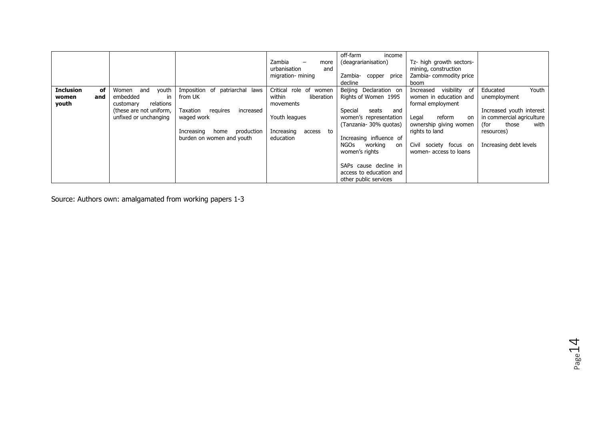|                           |           |                                                   |                                              | Zambia<br>more<br>urbanisation<br>and          | off-farm<br>income<br>(deagrarianisation)                                 | Tz- high growth sectors-<br>mining, construction        |                                                    |
|---------------------------|-----------|---------------------------------------------------|----------------------------------------------|------------------------------------------------|---------------------------------------------------------------------------|---------------------------------------------------------|----------------------------------------------------|
|                           |           |                                                   |                                              | migration- mining                              | Zambia-<br>copper price<br>decline                                        | Zambia-commodity price<br>boom                          |                                                    |
| <b>Inclusion</b><br>women | οf<br>and | youth<br>Women<br>and<br>embedded<br>in           | Imposition of<br>patriarchal laws<br>from UK | Critical role of women<br>within<br>liberation | Beijing Declaration on<br>Rights of Women 1995                            | visibility<br>of<br>Increased<br>women in education and | Youth<br>Educated<br>unemployment                  |
| youth                     |           | relations<br>customary<br>(these are not uniform, | Taxation<br>reguires<br>increased            | movements                                      | Special<br>seats<br>and                                                   | formal employment                                       | Increased youth interest                           |
|                           |           | unfixed or unchanging                             | waged work                                   | Youth leagues                                  | women's representation<br>(Tanzania- 30% guotas)                          | reform<br>Legal<br>on<br>ownership giving women         | in commercial agriculture<br>(for<br>with<br>those |
|                           |           |                                                   | production<br>Increasing<br>home             | Increasing<br>to<br>access                     |                                                                           | rights to land                                          | resources)                                         |
|                           |           |                                                   | burden on women and youth                    | education                                      | Increasing influence of<br>working<br>NGOs<br>on<br>women's rights        | Civil<br>society focus on<br>women- access to loans     | Increasing debt levels                             |
|                           |           |                                                   |                                              |                                                | SAPs cause decline in<br>access to education and<br>other public services |                                                         |                                                    |

Source: Authors own: amalgamated from working papers 1-3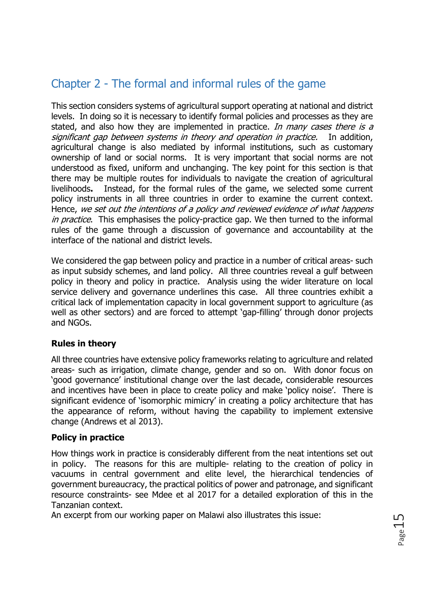# Chapter 2 - The formal and informal rules of the game

This section considers systems of agricultural support operating at national and district levels. In doing so it is necessary to identify formal policies and processes as they are stated, and also how they are implemented in practice. In many cases there is a significant gap between systems in theory and operation in practice. In addition, agricultural change is also mediated by informal institutions, such as customary ownership of land or social norms. It is very important that social norms are not understood as fixed, uniform and unchanging. The key point for this section is that there may be multiple routes for individuals to navigate the creation of agricultural livelihoods**.** Instead, for the formal rules of the game, we selected some current policy instruments in all three countries in order to examine the current context. Hence, we set out the intentions of a policy and reviewed evidence of what happens in practice. This emphasises the policy-practice gap. We then turned to the informal rules of the game through a discussion of governance and accountability at the interface of the national and district levels.

We considered the gap between policy and practice in a number of critical areas- such as input subsidy schemes, and land policy. All three countries reveal a gulf between policy in theory and policy in practice. Analysis using the wider literature on local service delivery and governance underlines this case. All three countries exhibit a critical lack of implementation capacity in local government support to agriculture (as well as other sectors) and are forced to attempt 'gap-filling' through donor projects and NGOs.

### **Rules in theory**

All three countries have extensive policy frameworks relating to agriculture and related areas- such as irrigation, climate change, gender and so on. With donor focus on 'good governance' institutional change over the last decade, considerable resources and incentives have been in place to create policy and make 'policy noise'. There is significant evidence of 'isomorphic mimicry' in creating a policy architecture that has the appearance of reform, without having the capability to implement extensive change (Andrews et al 2013).

### **Policy in practice**

How things work in practice is considerably different from the neat intentions set out in policy. The reasons for this are multiple- relating to the creation of policy in vacuums in central government and elite level, the hierarchical tendencies of government bureaucracy, the practical politics of power and patronage, and significant resource constraints- see Mdee et al 2017 for a detailed exploration of this in the Tanzanian context.

An excerpt from our working paper on Malawi also illustrates this issue: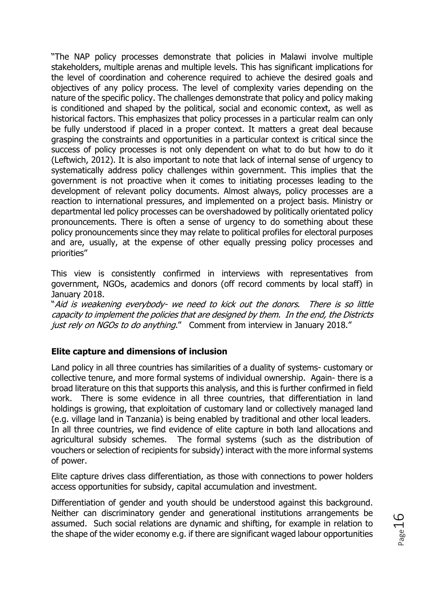"The NAP policy processes demonstrate that policies in Malawi involve multiple stakeholders, multiple arenas and multiple levels. This has significant implications for the level of coordination and coherence required to achieve the desired goals and objectives of any policy process. The level of complexity varies depending on the nature of the specific policy. The challenges demonstrate that policy and policy making is conditioned and shaped by the political, social and economic context, as well as historical factors. This emphasizes that policy processes in a particular realm can only be fully understood if placed in a proper context. It matters a great deal because grasping the constraints and opportunities in a particular context is critical since the success of policy processes is not only dependent on what to do but how to do it (Leftwich, 2012). It is also important to note that lack of internal sense of urgency to systematically address policy challenges within government. This implies that the government is not proactive when it comes to initiating processes leading to the development of relevant policy documents. Almost always, policy processes are a reaction to international pressures, and implemented on a project basis. Ministry or departmental led policy processes can be overshadowed by politically orientated policy pronouncements. There is often a sense of urgency to do something about these policy pronouncements since they may relate to political profiles for electoral purposes and are, usually, at the expense of other equally pressing policy processes and priorities"

This view is consistently confirmed in interviews with representatives from government, NGOs, academics and donors (off record comments by local staff) in January 2018.

"Aid is weakening everybody- we need to kick out the donors. There is so little capacity to implement the policies that are designed by them. In the end, the Districts just rely on NGOs to do anything." Comment from interview in January 2018."

### **Elite capture and dimensions of inclusion**

Land policy in all three countries has similarities of a duality of systems- customary or collective tenure, and more formal systems of individual ownership. Again- there is a broad literature on this that supports this analysis, and this is further confirmed in field work. There is some evidence in all three countries, that differentiation in land holdings is growing, that exploitation of customary land or collectively managed land (e.g. village land in Tanzania) is being enabled by traditional and other local leaders. In all three countries, we find evidence of elite capture in both land allocations and agricultural subsidy schemes. The formal systems (such as the distribution of vouchers or selection of recipients for subsidy) interact with the more informal systems of power.

Elite capture drives class differentiation, as those with connections to power holders access opportunities for subsidy, capital accumulation and investment.

Differentiation of gender and youth should be understood against this background. Neither can discriminatory gender and generational institutions arrangements be assumed. Such social relations are dynamic and shifting, for example in relation to the shape of the wider economy e.g. if there are significant waged labour opportunities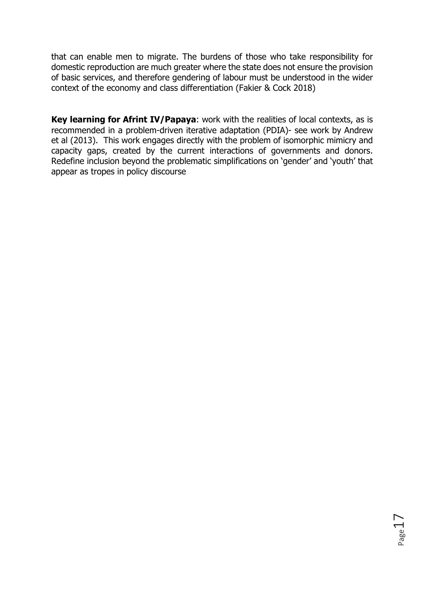that can enable men to migrate. The burdens of those who take responsibility for domestic reproduction are much greater where the state does not ensure the provision of basic services, and therefore gendering of labour must be understood in the wider context of the economy and class differentiation (Fakier & Cock 2018)

**Key learning for Afrint IV/Papaya**: work with the realities of local contexts, as is recommended in a problem-driven iterative adaptation (PDIA)- see work by Andrew et al (2013). This work engages directly with the problem of isomorphic mimicry and capacity gaps, created by the current interactions of governments and donors. Redefine inclusion beyond the problematic simplifications on 'gender' and 'youth' that appear as tropes in policy discourse

Page17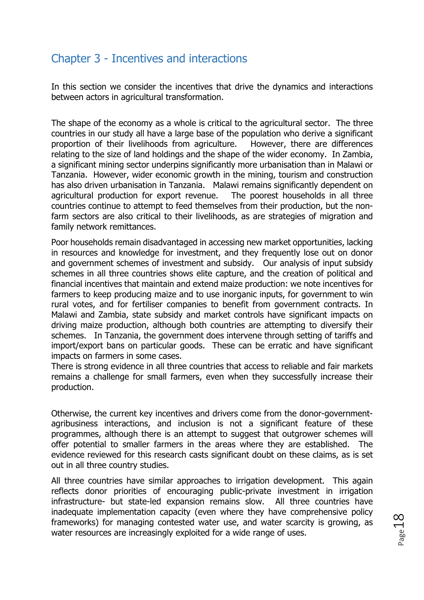# Chapter 3 - Incentives and interactions

In this section we consider the incentives that drive the dynamics and interactions between actors in agricultural transformation.

The shape of the economy as a whole is critical to the agricultural sector. The three countries in our study all have a large base of the population who derive a significant proportion of their livelihoods from agriculture. However, there are differences relating to the size of land holdings and the shape of the wider economy. In Zambia, a significant mining sector underpins significantly more urbanisation than in Malawi or Tanzania. However, wider economic growth in the mining, tourism and construction has also driven urbanisation in Tanzania. Malawi remains significantly dependent on agricultural production for export revenue. The poorest households in all three countries continue to attempt to feed themselves from their production, but the nonfarm sectors are also critical to their livelihoods, as are strategies of migration and family network remittances.

Poor households remain disadvantaged in accessing new market opportunities, lacking in resources and knowledge for investment, and they frequently lose out on donor and government schemes of investment and subsidy. Our analysis of input subsidy schemes in all three countries shows elite capture, and the creation of political and financial incentives that maintain and extend maize production: we note incentives for farmers to keep producing maize and to use inorganic inputs, for government to win rural votes, and for fertiliser companies to benefit from government contracts. In Malawi and Zambia, state subsidy and market controls have significant impacts on driving maize production, although both countries are attempting to diversify their schemes. In Tanzania, the government does intervene through setting of tariffs and import/export bans on particular goods. These can be erratic and have significant impacts on farmers in some cases.

There is strong evidence in all three countries that access to reliable and fair markets remains a challenge for small farmers, even when they successfully increase their production.

Otherwise, the current key incentives and drivers come from the donor-governmentagribusiness interactions, and inclusion is not a significant feature of these programmes, although there is an attempt to suggest that outgrower schemes will offer potential to smaller farmers in the areas where they are established. The evidence reviewed for this research casts significant doubt on these claims, as is set out in all three country studies.

All three countries have similar approaches to irrigation development. This again reflects donor priorities of encouraging public-private investment in irrigation infrastructure- but state-led expansion remains slow. All three countries have inadequate implementation capacity (even where they have comprehensive policy frameworks) for managing contested water use, and water scarcity is growing, as water resources are increasingly exploited for a wide range of uses.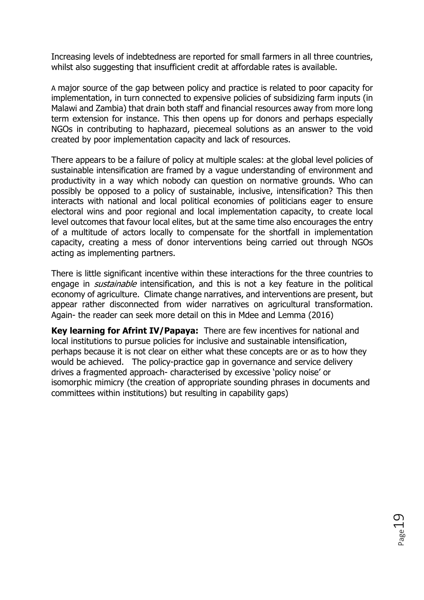Increasing levels of indebtedness are reported for small farmers in all three countries, whilst also suggesting that insufficient credit at affordable rates is available.

A major source of the gap between policy and practice is related to poor capacity for implementation, in turn connected to expensive policies of subsidizing farm inputs (in Malawi and Zambia) that drain both staff and financial resources away from more long term extension for instance. This then opens up for donors and perhaps especially NGOs in contributing to haphazard, piecemeal solutions as an answer to the void created by poor implementation capacity and lack of resources.

There appears to be a failure of policy at multiple scales: at the global level policies of sustainable intensification are framed by a vague understanding of environment and productivity in a way which nobody can question on normative grounds. Who can possibly be opposed to a policy of sustainable, inclusive, intensification? This then interacts with national and local political economies of politicians eager to ensure electoral wins and poor regional and local implementation capacity, to create local level outcomes that favour local elites, but at the same time also encourages the entry of a multitude of actors locally to compensate for the shortfall in implementation capacity, creating a mess of donor interventions being carried out through NGOs acting as implementing partners.

There is little significant incentive within these interactions for the three countries to engage in *sustainable* intensification, and this is not a key feature in the political economy of agriculture. Climate change narratives, and interventions are present, but appear rather disconnected from wider narratives on agricultural transformation. Again- the reader can seek more detail on this in Mdee and Lemma (2016)

**Key learning for Afrint IV/Papaya:** There are few incentives for national and local institutions to pursue policies for inclusive and sustainable intensification, perhaps because it is not clear on either what these concepts are or as to how they would be achieved. The policy-practice gap in governance and service delivery drives a fragmented approach- characterised by excessive 'policy noise' or isomorphic mimicry (the creation of appropriate sounding phrases in documents and committees within institutions) but resulting in capability gaps)

Page19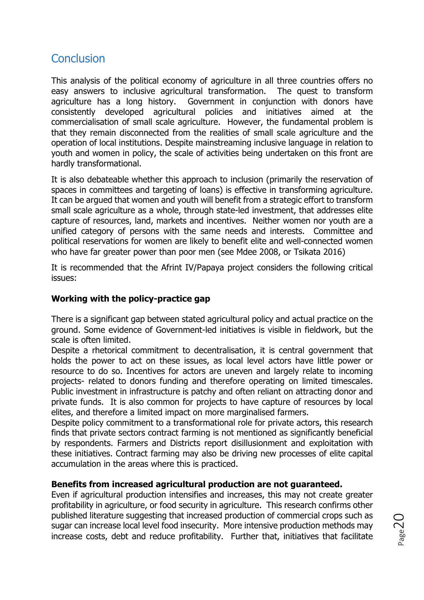## **Conclusion**

This analysis of the political economy of agriculture in all three countries offers no easy answers to inclusive agricultural transformation. The quest to transform agriculture has a long history. Government in conjunction with donors have consistently developed agricultural policies and initiatives aimed at the commercialisation of small scale agriculture. However, the fundamental problem is that they remain disconnected from the realities of small scale agriculture and the operation of local institutions. Despite mainstreaming inclusive language in relation to youth and women in policy, the scale of activities being undertaken on this front are hardly transformational.

It is also debateable whether this approach to inclusion (primarily the reservation of spaces in committees and targeting of loans) is effective in transforming agriculture. It can be argued that women and youth will benefit from a strategic effort to transform small scale agriculture as a whole, through state-led investment, that addresses elite capture of resources, land, markets and incentives. Neither women nor youth are a unified category of persons with the same needs and interests. Committee and political reservations for women are likely to benefit elite and well-connected women who have far greater power than poor men (see Mdee 2008, or Tsikata 2016)

It is recommended that the Afrint IV/Papaya project considers the following critical issues:

### **Working with the policy-practice gap**

There is a significant gap between stated agricultural policy and actual practice on the ground. Some evidence of Government-led initiatives is visible in fieldwork, but the scale is often limited.

Despite a rhetorical commitment to decentralisation, it is central government that holds the power to act on these issues, as local level actors have little power or resource to do so. Incentives for actors are uneven and largely relate to incoming projects- related to donors funding and therefore operating on limited timescales. Public investment in infrastructure is patchy and often reliant on attracting donor and private funds. It is also common for projects to have capture of resources by local elites, and therefore a limited impact on more marginalised farmers.

Despite policy commitment to a transformational role for private actors, this research finds that private sectors contract farming is not mentioned as significantly beneficial by respondents. Farmers and Districts report disillusionment and exploitation with these initiatives. Contract farming may also be driving new processes of elite capital accumulation in the areas where this is practiced.

#### **Benefits from increased agricultural production are not guaranteed.**

Even if agricultural production intensifies and increases, this may not create greater profitability in agriculture, or food security in agriculture. This research confirms other published literature suggesting that increased production of commercial crops such as sugar can increase local level food insecurity. More intensive production methods may increase costs, debt and reduce profitability. Further that, initiatives that facilitate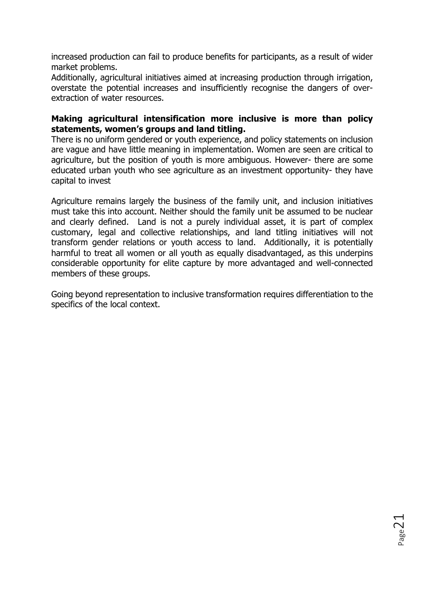increased production can fail to produce benefits for participants, as a result of wider market problems.

Additionally, agricultural initiatives aimed at increasing production through irrigation, overstate the potential increases and insufficiently recognise the dangers of overextraction of water resources.

### **Making agricultural intensification more inclusive is more than policy statements, women's groups and land titling.**

There is no uniform gendered or youth experience, and policy statements on inclusion are vague and have little meaning in implementation. Women are seen are critical to agriculture, but the position of youth is more ambiguous. However- there are some educated urban youth who see agriculture as an investment opportunity- they have capital to invest

Agriculture remains largely the business of the family unit, and inclusion initiatives must take this into account. Neither should the family unit be assumed to be nuclear and clearly defined. Land is not a purely individual asset, it is part of complex customary, legal and collective relationships, and land titling initiatives will not transform gender relations or youth access to land. Additionally, it is potentially harmful to treat all women or all youth as equally disadvantaged, as this underpins considerable opportunity for elite capture by more advantaged and well-connected members of these groups.

Going beyond representation to inclusive transformation requires differentiation to the specifics of the local context.

 $_{\rm Page}$ 21